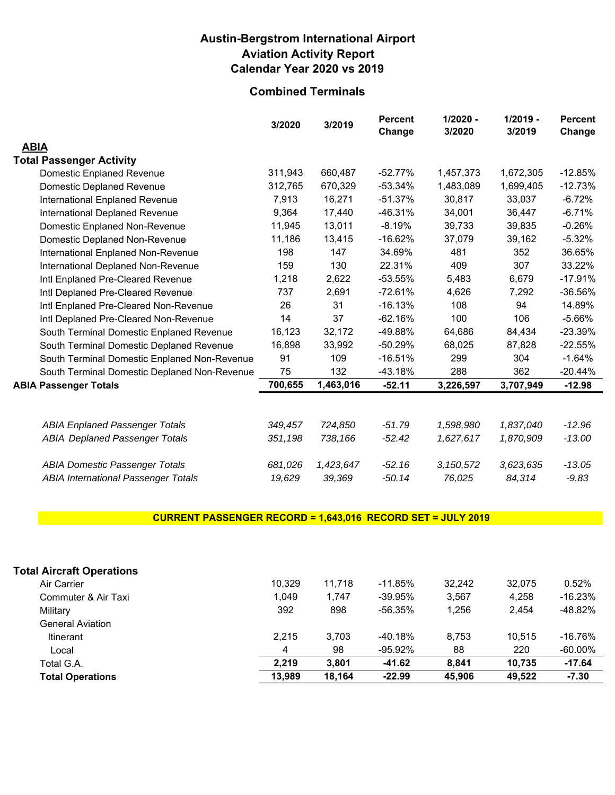# **Austin-Bergstrom International Airport Aviation Activity Report Calendar Year 2020 vs 2019**

# **Combined Terminals**

|                                              | 3/2020  | 3/2019    | <b>Percent</b><br>Change | $1/2020 -$<br>3/2020 | $1/2019 -$<br>3/2019 | <b>Percent</b><br>Change |
|----------------------------------------------|---------|-----------|--------------------------|----------------------|----------------------|--------------------------|
| <b>ABIA</b>                                  |         |           |                          |                      |                      |                          |
| <b>Total Passenger Activity</b>              |         |           |                          |                      |                      |                          |
| <b>Domestic Enplaned Revenue</b>             | 311,943 | 660,487   | $-52.77%$                | 1,457,373            | 1,672,305            | $-12.85%$                |
| <b>Domestic Deplaned Revenue</b>             | 312,765 | 670,329   | $-53.34%$                | 1,483,089            | 1,699,405            | $-12.73%$                |
| <b>International Enplaned Revenue</b>        | 7,913   | 16,271    | $-51.37%$                | 30,817               | 33,037               | $-6.72%$                 |
| <b>International Deplaned Revenue</b>        | 9,364   | 17,440    | $-46.31%$                | 34,001               | 36,447               | $-6.71%$                 |
| Domestic Enplaned Non-Revenue                | 11,945  | 13,011    | $-8.19%$                 | 39,733               | 39,835               | $-0.26%$                 |
| Domestic Deplaned Non-Revenue                | 11,186  | 13,415    | $-16.62%$                | 37,079               | 39,162               | $-5.32%$                 |
| <b>International Enplaned Non-Revenue</b>    | 198     | 147       | 34.69%                   | 481                  | 352                  | 36.65%                   |
| International Deplaned Non-Revenue           | 159     | 130       | 22.31%                   | 409                  | 307                  | 33.22%                   |
| Intl Enplaned Pre-Cleared Revenue            | 1,218   | 2,622     | $-53.55%$                | 5,483                | 6,679                | $-17.91%$                |
| Intl Deplaned Pre-Cleared Revenue            | 737     | 2,691     | $-72.61%$                | 4,626                | 7,292                | $-36.56%$                |
| Intl Enplaned Pre-Cleared Non-Revenue        | 26      | 31        | $-16.13%$                | 108                  | 94                   | 14.89%                   |
| Intl Deplaned Pre-Cleared Non-Revenue        | 14      | 37        | $-62.16%$                | 100                  | 106                  | $-5.66%$                 |
| South Terminal Domestic Enplaned Revenue     | 16,123  | 32,172    | -49.88%                  | 64,686               | 84,434               | $-23.39%$                |
| South Terminal Domestic Deplaned Revenue     | 16,898  | 33,992    | $-50.29%$                | 68,025               | 87,828               | $-22.55%$                |
| South Terminal Domestic Enplaned Non-Revenue | 91      | 109       | $-16.51%$                | 299                  | 304                  | $-1.64%$                 |
| South Terminal Domestic Deplaned Non-Revenue | 75      | 132       | -43.18%                  | 288                  | 362                  | $-20.44%$                |
| <b>ABIA Passenger Totals</b>                 | 700,655 | 1,463,016 | $-52.11$                 | 3,226,597            | 3,707,949            | $-12.98$                 |
|                                              |         |           |                          |                      |                      |                          |
| <b>ABIA Enplaned Passenger Totals</b>        | 349.457 | 724,850   | $-51.79$                 | 1,598,980            | 1,837,040            | $-12.96$                 |
| <b>ABIA Deplaned Passenger Totals</b>        | 351,198 | 738,166   | $-52.42$                 | 1,627,617            | 1,870,909            | $-13.00$                 |
| <b>ABIA Domestic Passenger Totals</b>        | 681,026 | 1,423,647 | $-52.16$                 | 3,150,572            | 3,623,635            | $-13.05$                 |
| <b>ABIA International Passenger Totals</b>   | 19,629  | 39,369    | $-50.14$                 | 76,025               | 84,314               | $-9.83$                  |

### **CURRENT PASSENGER RECORD = 1,643,016 RECORD SET = JULY 2019**

| <b>Total Operations</b>          | 13,989 | 18.164 | $-22.99$   | 45,906 | 49.522 | $-7.30$    |
|----------------------------------|--------|--------|------------|--------|--------|------------|
| Total G.A.                       | 2.219  | 3.801  | -41.62     | 8.841  | 10.735 | $-17.64$   |
| Local                            | 4      | 98     | $-95.92\%$ | 88     | 220    | $-60.00\%$ |
| <b>Itinerant</b>                 | 2.215  | 3,703  | $-40.18%$  | 8.753  | 10.515 | $-16.76%$  |
| <b>General Aviation</b>          |        |        |            |        |        |            |
| Military                         | 392    | 898    | -56.35%    | 1.256  | 2.454  | -48.82%    |
| Commuter & Air Taxi              | 1.049  | 1.747  | $-39.95%$  | 3.567  | 4.258  | $-16.23%$  |
| Air Carrier                      | 10.329 | 11.718 | $-11.85%$  | 32.242 | 32.075 | 0.52%      |
| <b>Total Aircraft Operations</b> |        |        |            |        |        |            |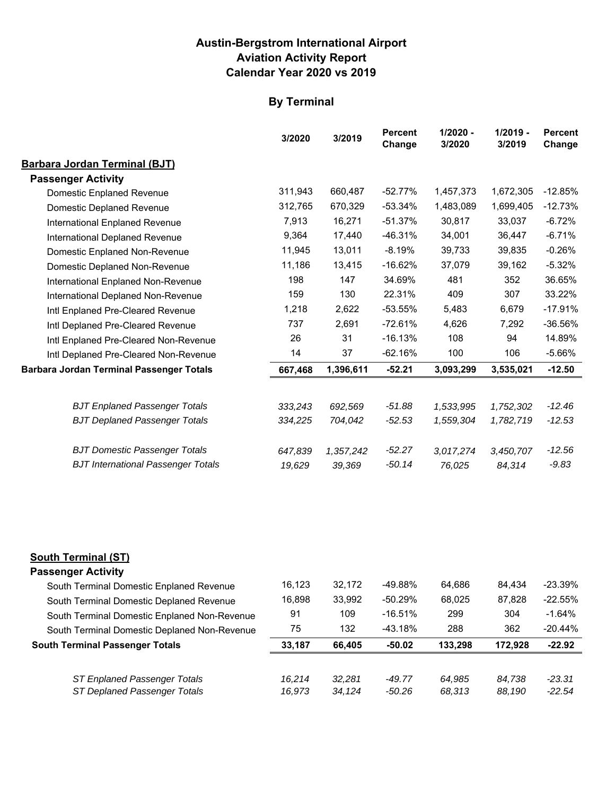## **Austin-Bergstrom International Airport Aviation Activity Report Calendar Year 2020 vs 2019**

# **By Terminal**

|                                                 | 3/2020  | 3/2019    | <b>Percent</b><br>Change | $1/2020 -$<br>3/2020 | $1/2019 -$<br>3/2019 | <b>Percent</b><br>Change |
|-------------------------------------------------|---------|-----------|--------------------------|----------------------|----------------------|--------------------------|
| <b>Barbara Jordan Terminal (BJT)</b>            |         |           |                          |                      |                      |                          |
| <b>Passenger Activity</b>                       |         |           |                          |                      |                      |                          |
| Domestic Enplaned Revenue                       | 311,943 | 660,487   | $-52.77%$                | 1,457,373            | 1,672,305            | $-12.85%$                |
| Domestic Deplaned Revenue                       | 312,765 | 670,329   | $-53.34%$                | 1,483,089            | 1,699,405            | $-12.73%$                |
| International Enplaned Revenue                  | 7,913   | 16,271    | $-51.37%$                | 30,817               | 33,037               | $-6.72%$                 |
| International Deplaned Revenue                  | 9,364   | 17,440    | $-46.31%$                | 34,001               | 36,447               | $-6.71%$                 |
| Domestic Enplaned Non-Revenue                   | 11,945  | 13,011    | $-8.19%$                 | 39,733               | 39,835               | $-0.26%$                 |
| Domestic Deplaned Non-Revenue                   | 11,186  | 13,415    | $-16.62%$                | 37,079               | 39,162               | $-5.32%$                 |
| International Enplaned Non-Revenue              | 198     | 147       | 34.69%                   | 481                  | 352                  | 36.65%                   |
| International Deplaned Non-Revenue              | 159     | 130       | 22.31%                   | 409                  | 307                  | 33.22%                   |
| Intl Enplaned Pre-Cleared Revenue               | 1,218   | 2,622     | $-53.55%$                | 5,483                | 6,679                | $-17.91%$                |
| Intl Deplaned Pre-Cleared Revenue               | 737     | 2,691     | $-72.61%$                | 4,626                | 7,292                | -36.56%                  |
| Intl Enplaned Pre-Cleared Non-Revenue           | 26      | 31        | $-16.13%$                | 108                  | 94                   | 14.89%                   |
| Intl Deplaned Pre-Cleared Non-Revenue           | 14      | 37        | $-62.16%$                | 100                  | 106                  | $-5.66%$                 |
| <b>Barbara Jordan Terminal Passenger Totals</b> | 667,468 | 1,396,611 | $-52.21$                 | 3,093,299            | 3,535,021            | $-12.50$                 |
|                                                 |         |           |                          |                      |                      |                          |
| <b>BJT Enplaned Passenger Totals</b>            | 333,243 | 692,569   | $-51.88$                 | 1,533,995            | 1,752,302            | $-12.46$                 |
| <b>BJT Deplaned Passenger Totals</b>            | 334,225 | 704,042   | $-52.53$                 | 1,559,304            | 1,782,719            | $-12.53$                 |
| <b>BJT Domestic Passenger Totals</b>            | 647,839 | 1,357,242 | $-52.27$                 | 3,017,274            | 3,450,707            | $-12.56$                 |
| <b>BJT International Passenger Totals</b>       | 19,629  | 39,369    | $-50.14$                 | 76,025               | 84,314               | $-9.83$                  |
|                                                 |         |           |                          |                      |                      |                          |

### **South Terminal (ST)**

### **Passenger Activity**

| South Terminal Domestic Enplaned Revenue     | 16.123 | 32.172 | -49.88%   | 64.686  | 84.434  | $-23.39%$ |
|----------------------------------------------|--------|--------|-----------|---------|---------|-----------|
| South Terminal Domestic Deplaned Revenue     | 16.898 | 33,992 | $-50.29%$ | 68,025  | 87,828  | $-22.55%$ |
| South Terminal Domestic Enplaned Non-Revenue | 91     | 109    | $-16.51%$ | 299     | 304     | $-1.64%$  |
| South Terminal Domestic Deplaned Non-Revenue | 75     | 132    | $-43.18%$ | 288     | 362     | $-20.44%$ |
|                                              |        |        |           |         |         |           |
| <b>South Terminal Passenger Totals</b>       | 33.187 | 66.405 | $-50.02$  | 133.298 | 172.928 | $-22.92$  |
|                                              |        |        |           |         |         |           |
| ST Enplaned Passenger Totals                 | 16.214 | 32.281 | $-49.77$  | 64.985  | 84.738  | $-23.31$  |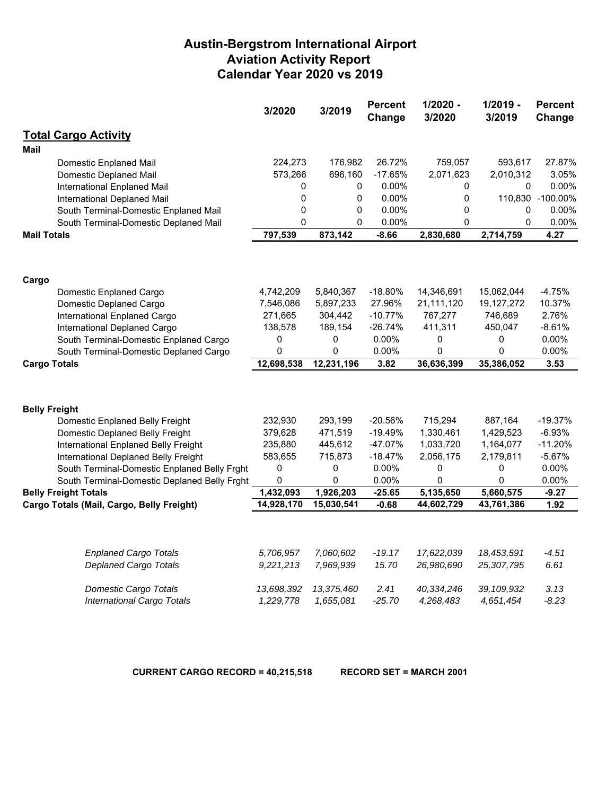# **Austin-Bergstrom International Airport Aviation Activity Report Calendar Year 2020 vs 2019**

|                                              | 3/2020       | 3/2019      | <b>Percent</b><br>Change | $1/2020 -$<br>3/2020 | $1/2019 -$<br>3/2019 | <b>Percent</b><br>Change |
|----------------------------------------------|--------------|-------------|--------------------------|----------------------|----------------------|--------------------------|
| <b>Total Cargo Activity</b>                  |              |             |                          |                      |                      |                          |
| Mail                                         |              |             |                          |                      |                      |                          |
| Domestic Enplaned Mail                       | 224,273      | 176,982     | 26.72%                   | 759,057              | 593,617              | 27.87%                   |
| <b>Domestic Deplaned Mail</b>                | 573,266      | 696,160     | $-17.65%$                | 2,071,623            | 2,010,312            | 3.05%                    |
| International Enplaned Mail                  | 0            | 0           | 0.00%                    | 0                    | 0                    | 0.00%                    |
| International Deplaned Mail                  | $\mathbf 0$  | $\mathbf 0$ | 0.00%                    | 0                    |                      | 110,830 -100.00%         |
| South Terminal-Domestic Enplaned Mail        | $\Omega$     | 0           | 0.00%                    | 0                    | 0                    | 0.00%                    |
| South Terminal-Domestic Deplaned Mail        | $\mathbf{0}$ | $\Omega$    | 0.00%                    | 0                    | 0                    | 0.00%                    |
| <b>Mail Totals</b>                           | 797,539      | 873,142     | $-8.66$                  | 2,830,680            | 2,714,759            | 4.27                     |
|                                              |              |             |                          |                      |                      |                          |
| Cargo                                        |              |             |                          |                      |                      |                          |
| Domestic Enplaned Cargo                      | 4,742,209    | 5,840,367   | $-18.80%$                | 14,346,691           | 15,062,044           | -4.75%                   |
| Domestic Deplaned Cargo                      | 7,546,086    | 5,897,233   | 27.96%                   | 21,111,120           | 19,127,272           | 10.37%                   |
| International Enplaned Cargo                 | 271,665      | 304,442     | $-10.77%$                | 767,277              | 746,689              | 2.76%                    |
| International Deplaned Cargo                 | 138,578      | 189,154     | $-26.74%$                | 411,311              | 450,047              | -8.61%                   |
| South Terminal-Domestic Enplaned Cargo       | 0            | 0           | 0.00%                    | 0                    | 0                    | 0.00%                    |
| South Terminal-Domestic Deplaned Cargo       | 0            | 0           | 0.00%                    | 0                    | 0                    | 0.00%                    |
| <b>Cargo Totals</b>                          | 12,698,538   | 12,231,196  | 3.82                     | 36,636,399           | 35,386,052           | 3.53                     |
|                                              |              |             |                          |                      |                      |                          |
| <b>Belly Freight</b>                         |              |             |                          |                      |                      |                          |
| Domestic Enplaned Belly Freight              | 232,930      | 293,199     | -20.56%                  | 715,294              | 887,164              | -19.37%                  |
| Domestic Deplaned Belly Freight              | 379,628      | 471,519     | $-19.49%$                | 1,330,461            | 1,429,523            | $-6.93%$                 |
| International Enplaned Belly Freight         | 235,880      | 445,612     | -47.07%                  | 1,033,720            | 1,164,077            | $-11.20%$                |
| International Deplaned Belly Freight         | 583,655      | 715,873     | $-18.47%$                | 2,056,175            | 2,179,811            | $-5.67%$                 |
| South Terminal-Domestic Enplaned Belly Frght | 0            | 0           | 0.00%                    | 0                    | 0                    | 0.00%                    |
| South Terminal-Domestic Deplaned Belly Frght | 0            | $\Omega$    | 0.00%                    | 0                    | 0                    | 0.00%                    |
| <b>Belly Freight Totals</b>                  | 1,432,093    | 1,926,203   | $-25.65$                 | 5,135,650            | 5,660,575            | $-9.27$                  |
| Cargo Totals (Mail, Cargo, Belly Freight)    | 14,928,170   | 15,030,541  | $-0.68$                  | 44,602,729           | 43,761,386           | 1.92                     |
|                                              |              |             |                          |                      |                      |                          |
| <b>Enplaned Cargo Totals</b>                 | 5,706,957    | 7,060,602   | $-19.17$                 | 17,622,039           | 18,453,591           | $-4.51$                  |
| <b>Deplaned Cargo Totals</b>                 | 9,221,213    | 7,969,939   | 15.70                    | 26,980,690           | 25,307,795           | 6.61                     |
| <b>Domestic Cargo Totals</b>                 | 13,698,392   | 13,375,460  | 2.41                     | 40,334,246           | 39, 109, 932         | 3.13                     |
| <b>International Cargo Totals</b>            | 1,229,778    | 1,655,081   | $-25.70$                 | 4,268,483            | 4,651,454            | $-8.23$                  |

**CURRENT CARGO RECORD = 40,215,518 RECORD SET = MARCH 2001**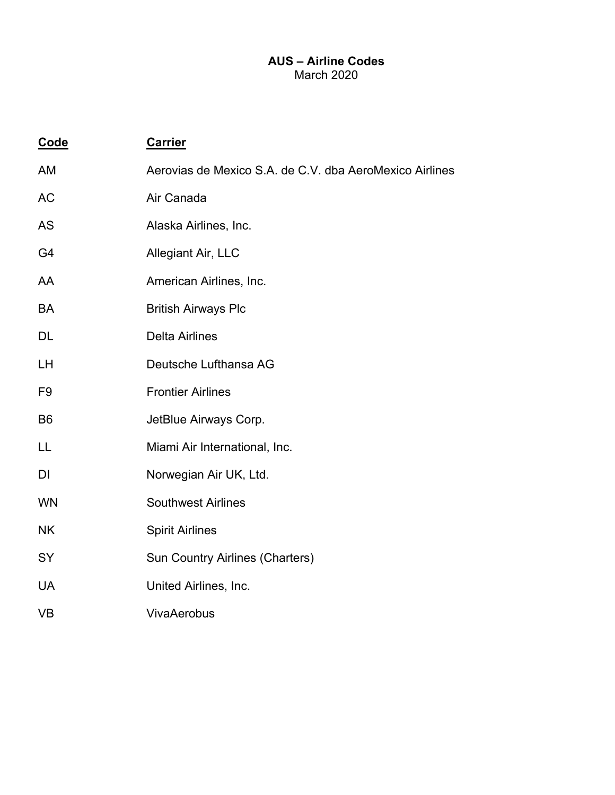## **AUS – Airline Codes**  March 2020

| Code           | <b>Carrier</b>                                          |
|----------------|---------------------------------------------------------|
| <b>AM</b>      | Aerovias de Mexico S.A. de C.V. dba AeroMexico Airlines |
| <b>AC</b>      | Air Canada                                              |
| <b>AS</b>      | Alaska Airlines, Inc.                                   |
| G4             | Allegiant Air, LLC                                      |
| AA             | American Airlines, Inc.                                 |
| BA             | <b>British Airways Plc</b>                              |
| <b>DL</b>      | <b>Delta Airlines</b>                                   |
| LH             | Deutsche Lufthansa AG                                   |
| F <sub>9</sub> | <b>Frontier Airlines</b>                                |
| B <sub>6</sub> | JetBlue Airways Corp.                                   |
| LL             | Miami Air International, Inc.                           |
| DI             | Norwegian Air UK, Ltd.                                  |
| <b>WN</b>      | <b>Southwest Airlines</b>                               |
| <b>NK</b>      | <b>Spirit Airlines</b>                                  |
| SY             | <b>Sun Country Airlines (Charters)</b>                  |
| <b>UA</b>      | United Airlines, Inc.                                   |
| <b>VB</b>      | <b>VivaAerobus</b>                                      |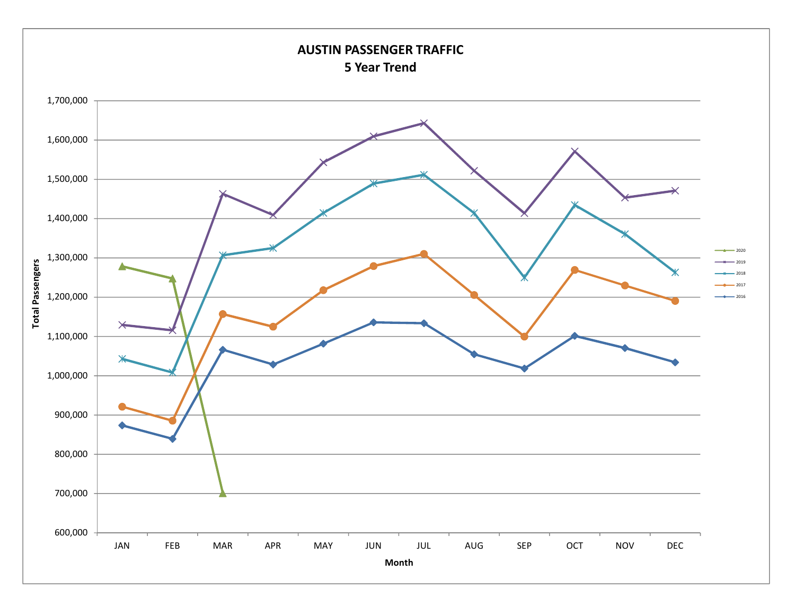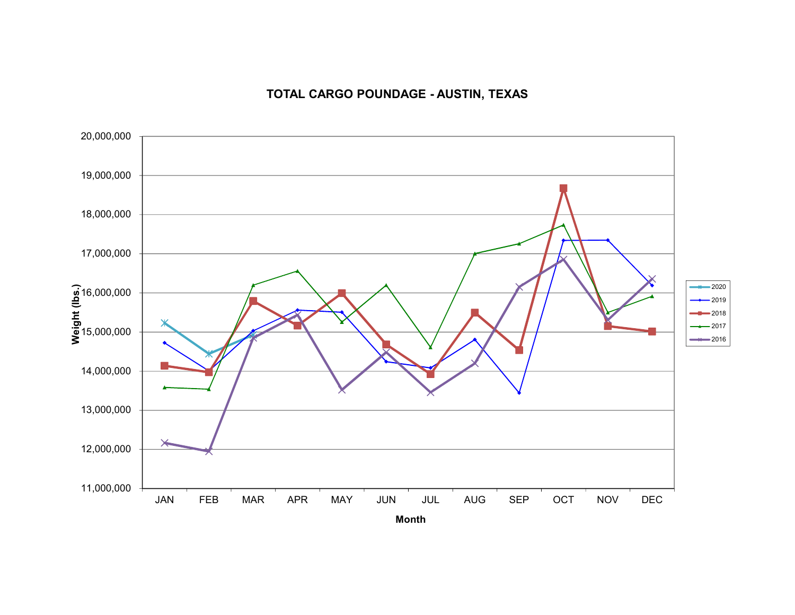# **TOTAL CARGO POUNDAGE - AUSTIN, TEXAS**

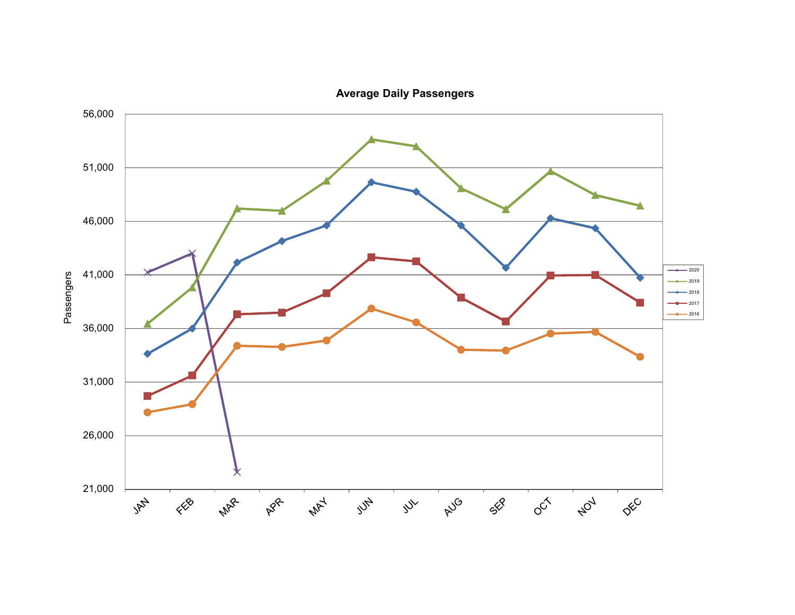

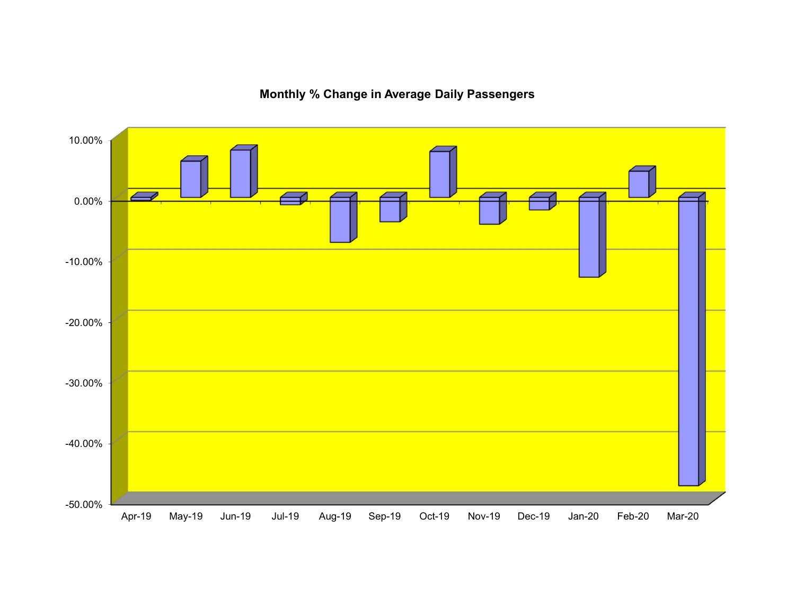

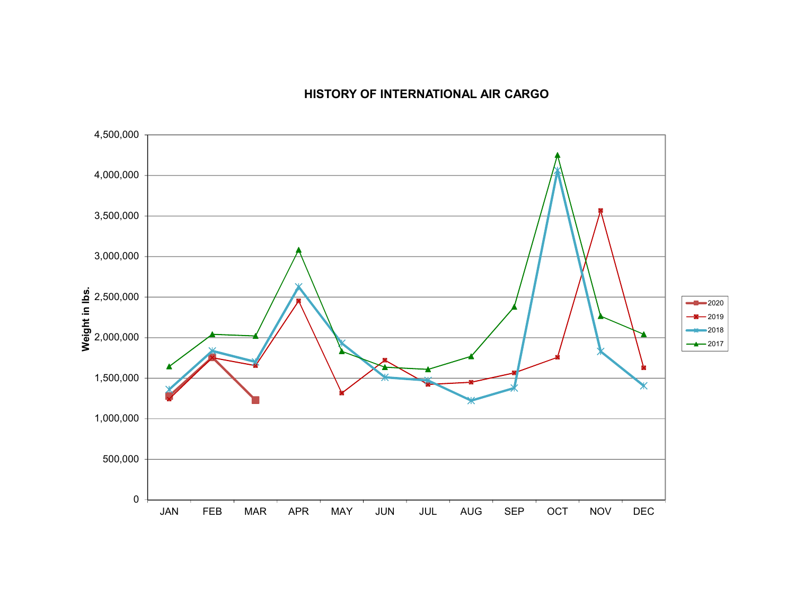# **HISTORY OF INTERNATIONAL AIR CARGO**

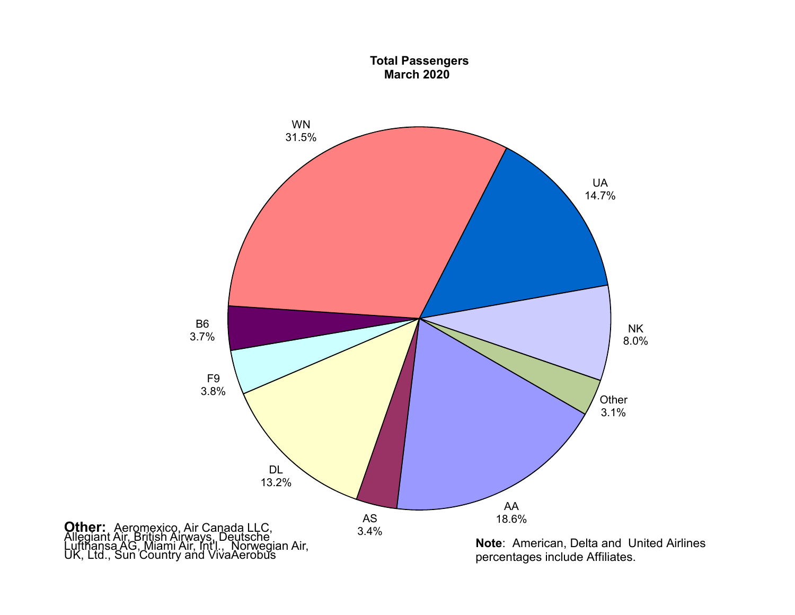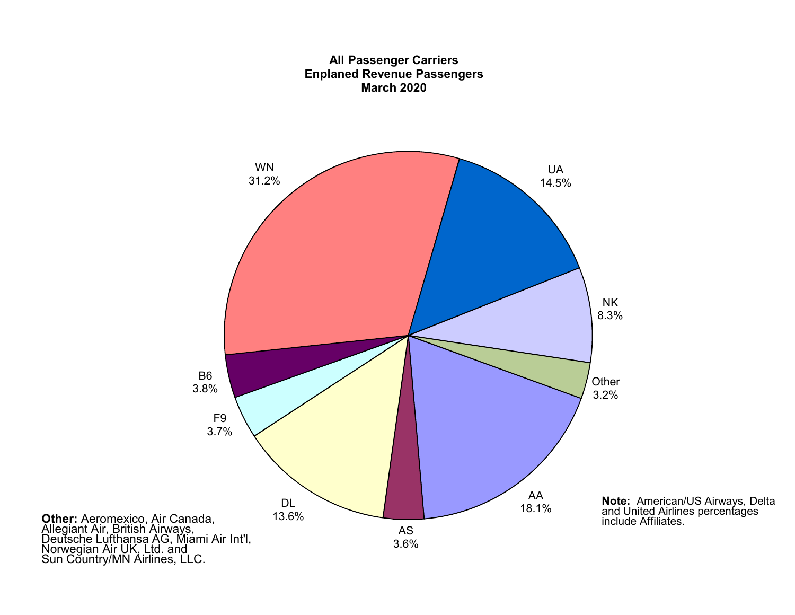![](_page_10_Figure_0.jpeg)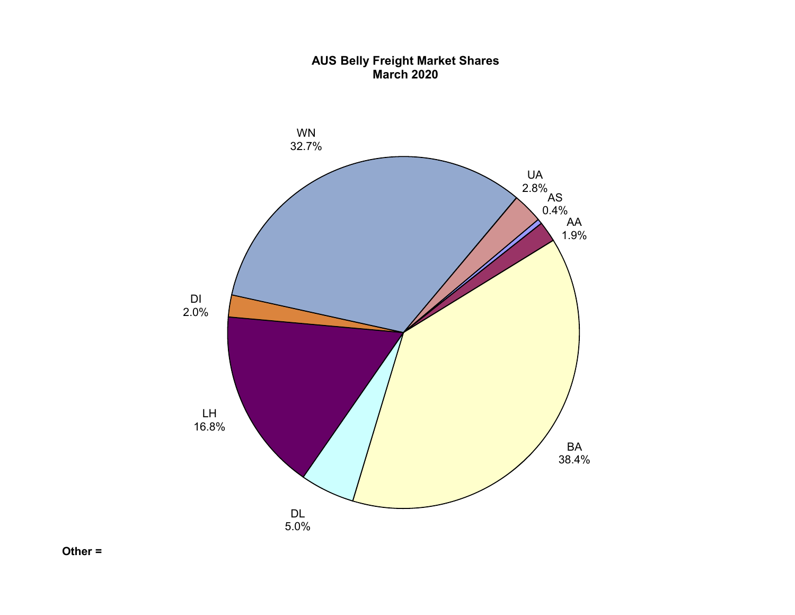### **AUS Belly Freight Market Shares March 2020**

![](_page_11_Figure_1.jpeg)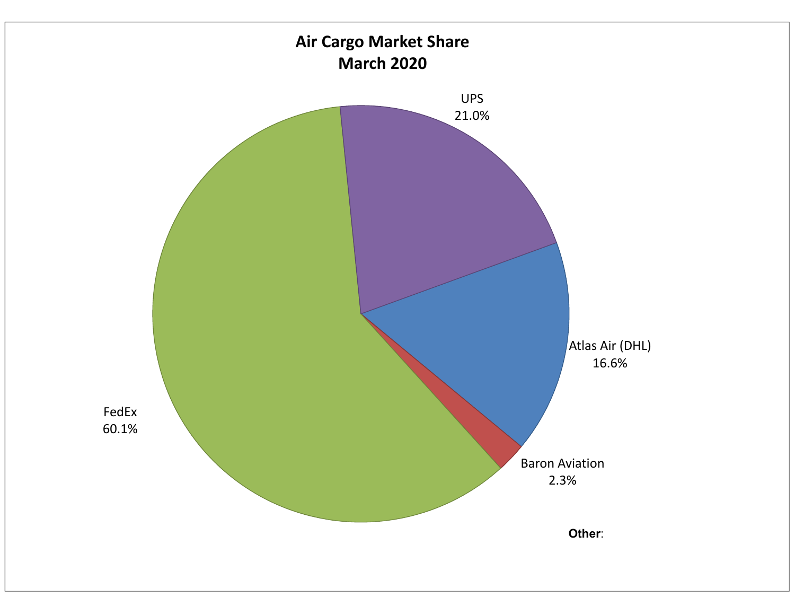![](_page_12_Figure_0.jpeg)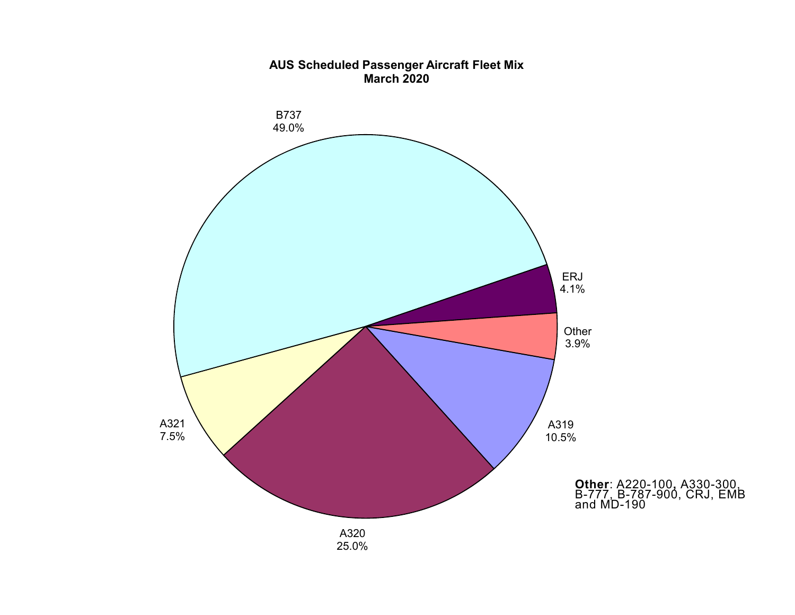![](_page_13_Figure_0.jpeg)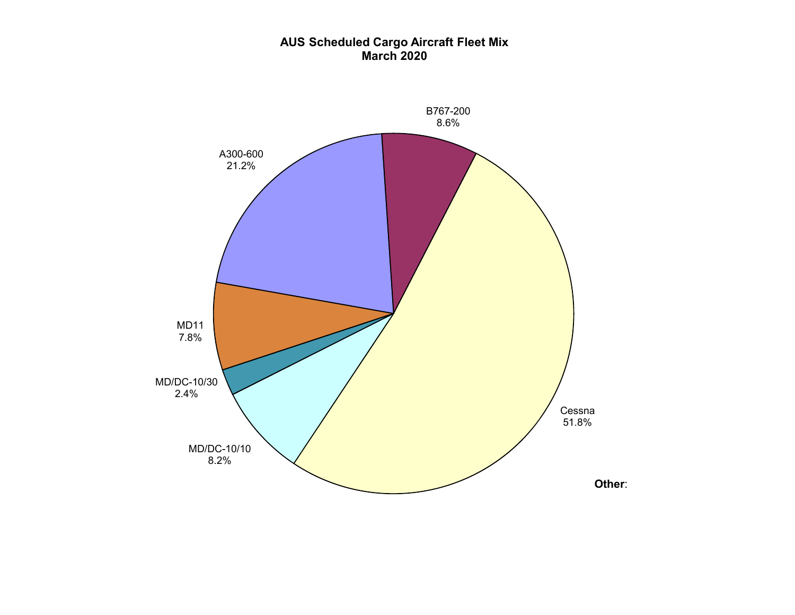### **AUS Scheduled Cargo Aircraft Fleet Mix March 2020**

![](_page_14_Figure_1.jpeg)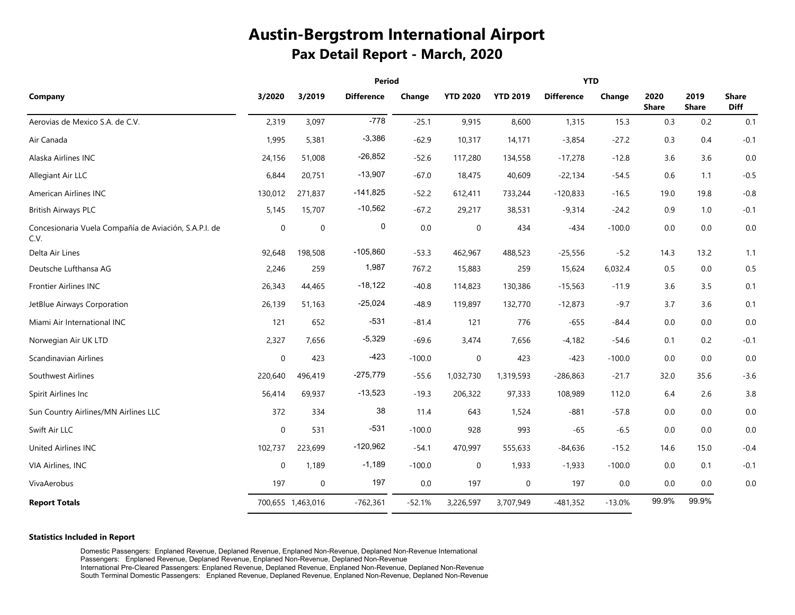# **Austin-Bergstrom International Airport Pax Detail Report - March, 2020**

|                                                               | Period           |                   |                   |          |                 | <b>YTD</b>      |                   |          |                      |                      |                             |  |
|---------------------------------------------------------------|------------------|-------------------|-------------------|----------|-----------------|-----------------|-------------------|----------|----------------------|----------------------|-----------------------------|--|
| Company                                                       | 3/2020           | 3/2019            | <b>Difference</b> | Change   | <b>YTD 2020</b> | <b>YTD 2019</b> | <b>Difference</b> | Change   | 2020<br><b>Share</b> | 2019<br><b>Share</b> | <b>Share</b><br><b>Diff</b> |  |
| Aerovias de Mexico S.A. de C.V.                               | 2,319            | 3,097             | $-778$            | $-25.1$  | 9,915           | 8,600           | 1,315             | 15.3     | 0.3                  | 0.2                  | 0.1                         |  |
| Air Canada                                                    | 1,995            | 5,381             | $-3,386$          | $-62.9$  | 10,317          | 14,171          | $-3,854$          | $-27.2$  | 0.3                  | 0.4                  | $-0.1$                      |  |
| Alaska Airlines INC                                           | 24,156           | 51,008            | $-26,852$         | $-52.6$  | 117,280         | 134,558         | $-17,278$         | $-12.8$  | 3.6                  | 3.6                  | 0.0                         |  |
| Allegiant Air LLC                                             | 6,844            | 20,751            | $-13,907$         | $-67.0$  | 18,475          | 40,609          | $-22,134$         | $-54.5$  | 0.6                  | 1.1                  | $-0.5$                      |  |
| American Airlines INC                                         | 130,012          | 271,837           | $-141,825$        | $-52.2$  | 612,411         | 733,244         | $-120,833$        | $-16.5$  | 19.0                 | 19.8                 | $-0.8$                      |  |
| <b>British Airways PLC</b>                                    | 5,145            | 15,707            | $-10,562$         | $-67.2$  | 29,217          | 38,531          | $-9,314$          | $-24.2$  | 0.9                  | 1.0                  | $-0.1$                      |  |
| Concesionaria Vuela Compañía de Aviación, S.A.P.I. de<br>C.V. | $\mbox{O}$       | $\boldsymbol{0}$  | 0                 | $0.0\,$  | $\pmb{0}$       | 434             | $-434$            | $-100.0$ | $0.0\,$              | $0.0\,$              | 0.0                         |  |
| Delta Air Lines                                               | 92,648           | 198,508           | $-105,860$        | $-53.3$  | 462,967         | 488,523         | $-25,556$         | $-5.2$   | 14.3                 | 13.2                 | 1.1                         |  |
| Deutsche Lufthansa AG                                         | 2,246            | 259               | 1,987             | 767.2    | 15,883          | 259             | 15,624            | 6,032.4  | 0.5                  | 0.0                  | 0.5                         |  |
| <b>Frontier Airlines INC</b>                                  | 26,343           | 44,465            | $-18,122$         | $-40.8$  | 114,823         | 130,386         | $-15,563$         | $-11.9$  | 3.6                  | 3.5                  | 0.1                         |  |
| JetBlue Airways Corporation                                   | 26,139           | 51,163            | $-25,024$         | $-48.9$  | 119,897         | 132,770         | $-12,873$         | $-9.7$   | 3.7                  | 3.6                  | 0.1                         |  |
| Miami Air International INC                                   | 121              | 652               | $-531$            | $-81.4$  | 121             | 776             | $-655$            | $-84.4$  | 0.0                  | 0.0                  | 0.0                         |  |
| Norwegian Air UK LTD                                          | 2,327            | 7,656             | $-5,329$          | $-69.6$  | 3,474           | 7,656           | $-4,182$          | $-54.6$  | 0.1                  | 0.2                  | $-0.1$                      |  |
| Scandinavian Airlines                                         | $\boldsymbol{0}$ | 423               | $-423$            | $-100.0$ | $\pmb{0}$       | 423             | $-423$            | $-100.0$ | 0.0                  | 0.0                  | 0.0                         |  |
| Southwest Airlines                                            | 220,640          | 496,419           | $-275,779$        | $-55.6$  | 1,032,730       | 1,319,593       | $-286,863$        | $-21.7$  | 32.0                 | 35.6                 | $-3.6$                      |  |
| Spirit Airlines Inc                                           | 56,414           | 69,937            | $-13,523$         | $-19.3$  | 206,322         | 97,333          | 108,989           | 112.0    | 6.4                  | $2.6$                | 3.8                         |  |
| Sun Country Airlines/MN Airlines LLC                          | 372              | 334               | 38                | 11.4     | 643             | 1,524           | $-881$            | $-57.8$  | 0.0                  | 0.0                  | 0.0                         |  |
| Swift Air LLC                                                 | $\pmb{0}$        | 531               | $-531$            | $-100.0$ | 928             | 993             | $-65$             | $-6.5$   | 0.0                  | 0.0                  | 0.0                         |  |
| <b>United Airlines INC</b>                                    | 102,737          | 223,699           | $-120,962$        | $-54.1$  | 470,997         | 555,633         | $-84,636$         | $-15.2$  | 14.6                 | 15.0                 | $-0.4$                      |  |
| VIA Airlines, INC                                             | $\mathbf 0$      | 1,189             | $-1,189$          | $-100.0$ | $\mathbf 0$     | 1,933           | $-1,933$          | $-100.0$ | 0.0                  | 0.1                  | $-0.1$                      |  |
| VivaAerobus                                                   | 197              | $\pmb{0}$         | 197               | 0.0      | 197             | $\mathbf 0$     | 197               | 0.0      | 0.0                  | 0.0                  | 0.0                         |  |
| <b>Report Totals</b>                                          |                  | 700,655 1,463,016 | $-762,361$        | $-52.1%$ | 3,226,597       | 3,707,949       | $-481,352$        | $-13.0%$ | 99.9%                | 99.9%                |                             |  |

#### **Statistics Included in Report**

Domestic Passengers: Enplaned Revenue, Deplaned Revenue, Enplaned Non-Revenue, Deplaned Non-Revenue International Passengers: Enplaned Revenue, Deplaned Revenue, Enplaned Non-Revenue, Deplaned Non-Revenue International Pre-Cleared Passengers: Enplaned Revenue, Deplaned Revenue, Enplaned Non-Revenue, Deplaned Non-Revenue South Terminal Domestic Passengers: Enplaned Revenue, Deplaned Revenue, Enplaned Non-Revenue, Deplaned Non-Revenue